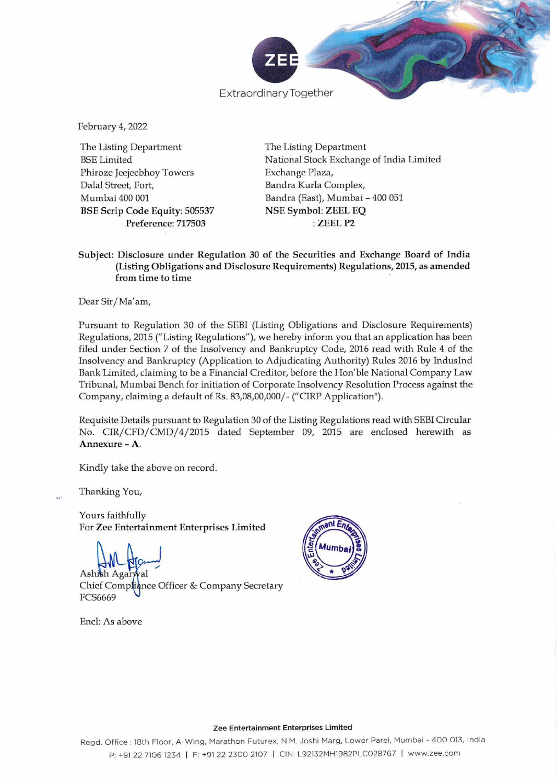

February 4, 2022

The Listing Department **BSE** Limited Phiroze Jeejeebhoy Towers Dalal Street, Fort, Mumbai 400 001 **BSE Scrip Code Equity: 505537** Preference: 717503

The Listing Department National Stock Exchange of India Limited Exchange Plaza, Bandra Kurla Complex, Bandra (East), Mumbai - 400 051 **NSE Symbol: ZEEL EQ** : ZEEL P2

## Subject: Disclosure under Regulation 30 of the Securities and Exchange Board of India (Listing Obligations and Disclosure Requirements) Regulations, 2015, as amended from time to time

Dear Sir/Ma'am,

Pursuant to Regulation 30 of the SEBI (Listing Obligations and Disclosure Requirements) Regulations, 2015 ("Listing Regulations"), we hereby inform you that an application has been filed under Section 7 of the Insolvency and Bankruptcy Code, 2016 read with Rule 4 of the Insolvency and Bankruptcy (Application to Adjudicating Authority) Rules 2016 by IndusInd Bank Limited, claiming to be a Financial Creditor, before the Hon'ble National Company Law Tribunal, Mumbai Bench for initiation of Corporate Insolvency Resolution Process against the Company, claiming a default of Rs. 83,08,00,000/- ("CIRP Application").

Requisite Details pursuant to Regulation 30 of the Listing Regulations read with SEBI Circular No. CIR/CFD/CMD/4/2015 dated September 09, 2015 are enclosed herewith as Annexure - A.

Kindly take the above on record.

Thanking You,

Yours faithfully For Zee Entertainment Enterprises Limited

Ashish Chief Compliance Officer & Company Secretary **FCS6669** 

Encl: As above



#### Zee Entertainment Enterprises Limited

Regd. Office: 18th Floor, A-Wing, Marathon Futurex, N.M. Joshi Marg, Lower Parel, Mumbai - 400 013, India P: +91 22 7106 1234 | F: +91 22 2300 2107 | CIN: L92132MH1982PLC028767 | www.zee.com